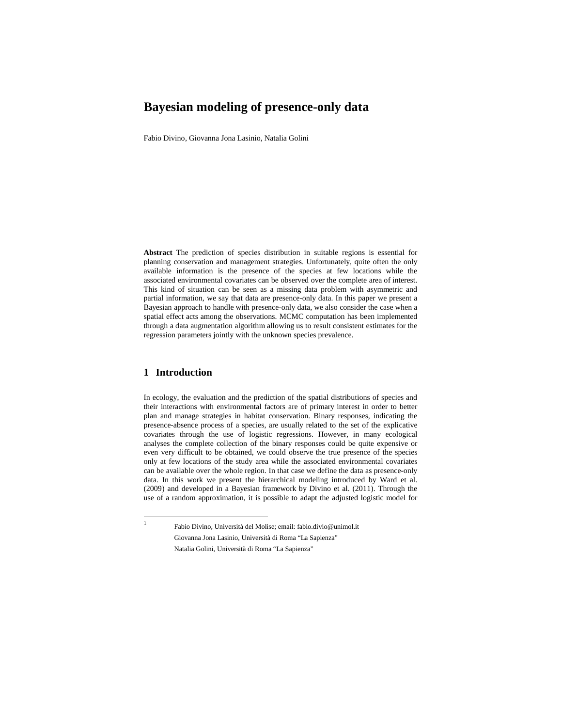# **Bayesian modeling of presence-only data**

Fabio Divino, Giovanna Jona Lasinio, Natalia Golini

**Abstract** The prediction of species distribution in suitable regions is essential for planning conservation and management strategies. Unfortunately, quite often the only available information is the presence of the species at few locations while the associated environmental covariates can be observed over the complete area of interest. This kind of situation can be seen as a missing data problem with asymmetric and partial information, we say that data are presence-only data. In this paper we present a Bayesian approach to handle with presence-only data, we also consider the case when a spatial effect acts among the observations. MCMC computation has been implemented through a data augmentation algorithm allowing us to result consistent estimates for the regression parameters jointly with the unknown species prevalence.

### **1 Introduction**

In ecology, the evaluation and the prediction of the spatial distributions of species and their interactions with environmental factors are of primary interest in order to better plan and manage strategies in habitat conservation. Binary responses, indicating the presence-absence process of a species, are usually related to the set of the explicative covariates through the use of logistic regressions. However, in many ecological analyses the complete collection of the binary responses could be quite expensive or even very difficult to be obtained, we could observe the true presence of the species only at few locations of the study area while the associated environmental covariates can be available over the whole region. In that case we define the data as presence-only data. In this work we present the hierarchical modeling introduced by Ward et al. (2009) and developed in a Bayesian framework by Divino et al. (2011). Through the use of a random approximation, it is possible to adapt the adjusted logistic model for

<sup>1</sup> Fabio Divino, Università del Molise; email: fabio.divio@unimol.it Giovanna Jona Lasinio, Università di Roma "La Sapienza" Natalia Golini, Università di Roma "La Sapienza"

 $\mathbf{1}$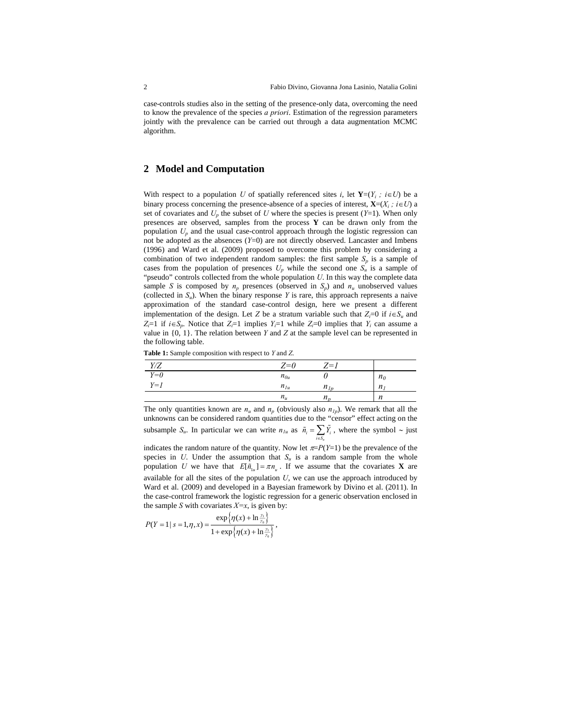case-controls studies also in the setting of the presence-only data, overcoming the need to know the prevalence of the species *a priori*. Estimation of the regression parameters jointly with the prevalence can be carried out through a data augmentation MCMC algorithm.

#### **2 Model and Computation**

With respect to a population *U* of spatially referenced sites *i*, let  $Y=(Y_i : i \in U)$  be a binary process concerning the presence-absence of a species of interest,  $\mathbf{X}=(X_i; i \in U)$  a set of covariates and  $U_p$  the subset of  $U$  where the species is present  $(Y=1)$ . When only presences are observed, samples from the process **Y** can be drawn only from the population *Up* and the usual case-control approach through the logistic regression can not be adopted as the absences (*Y*=0) are not directly observed. Lancaster and Imbens (1996) and Ward et al. (2009) proposed to overcome this problem by considering a combination of two independent random samples: the first sample  $S_p$  is a sample of cases from the population of presences  $U_p$  while the second one  $S_u$  is a sample of "pseudo" controls collected from the whole population *U*. In this way the complete data sample *S* is composed by  $n_p$  presences (observed in  $S_p$ ) and  $n_u$  unobserved values (collected in  $S_u$ ). When the binary response Y is rare, this approach represents a naive approximation of the standard case-control design, here we present a different implementation of the design. Let *Z* be a stratum variable such that  $Z_i=0$  if  $i \in S_u$  and  $Z_i=1$  if  $i \in S_p$ . Notice that  $Z_i=1$  implies  $Y_i=1$  while  $Z_i=0$  implies that  $Y_i$  can assume a value in  $\{0, 1\}$ . The relation between *Y* and *Z* at the sample level can be represented in the following table.

**Table 1:** Sample composition with respect to *Y* and *Z*.

| Y/Z   | $Z=0$    | $Z=1$    |                |
|-------|----------|----------|----------------|
| $Y=0$ | $n_{0u}$ |          | n <sub>0</sub> |
| $Y=1$ | $n_{1u}$ | $n_{1n}$ | $n_{I}$        |
|       | $n_{u}$  | $n_{n}$  | n              |

The only quantities known are  $n_u$  and  $n_p$  (obviously also  $n_{1p}$ ). We remark that all the unknowns can be considered random quantities due to the "censor" effect acting on the subsample  $S_u$ . In particular we can write  $n_{1u}$  as  $\tilde{n}_i = \sum_{i \in S_u} \tilde{Y}_i$ , where the symbol  $\sim$  just

indicates the random nature of the quantity. Now let  $\pi = P(Y=1)$  be the prevalence of the species in *U*. Under the assumption that  $S_u$  is a random sample from the whole population *U* we have that  $E[\tilde{n}_{1u}] = \pi n_u$ . If we assume that the covariates **X** are available for all the sites of the population *U*, we can use the approach introduced by Ward et al. (2009) and developed in a Bayesian framework by Divino et al. (2011). In the case-control framework the logistic regression for a generic observation enclosed in the sample *S* with covariates  $X=x$ , is given by:

$$
P(Y = 1 | s = 1, \eta, x) = \frac{\exp\{\eta(x) + \ln\frac{\gamma_1}{\gamma_0}\}}{1 + \exp\{\eta(x) + \ln\frac{\gamma_1}{\gamma_0}\}},
$$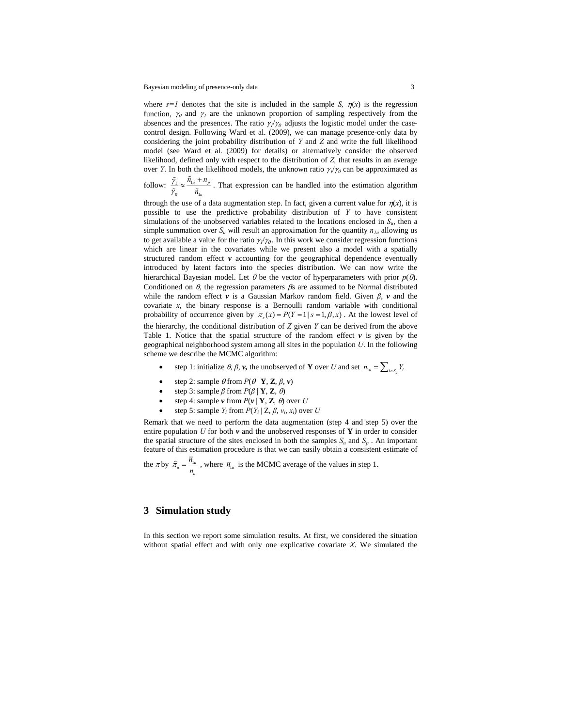where  $s=1$  denotes that the site is included in the sample *S*,  $\eta(x)$  is the regression function,  $\gamma_0$  and  $\gamma_1$  are the unknown proportion of sampling respectively from the absences and the presences. The ratio  $\gamma/\gamma$  adjusts the logistic model under the casecontrol design. Following Ward et al. (2009), we can manage presence-only data by considering the joint probability distribution of *Y* and *Z* and write the full likelihood model (see Ward et al. (2009) for details) or alternatively consider the observed likelihood, defined only with respect to the distribution of *Z,* that results in an average over *Y*. In both the likelihood models, the unknown ratio  $\gamma/\gamma_0$  can be approximated as

follow:  $\frac{\gamma_1}{\gamma_2} \approx \frac{n_1}{n_2}$ 0  $\mathbf{u}_1$  $u^{n}$  *p u*  $\tilde{n}_{1u} + n$ *n* γ  $\frac{\tilde{\gamma}_1}{\tilde{\gamma}_0} \approx \frac{\tilde{n}_{1u} + n_p}{\tilde{n}_{1u}}$ . That expression can be handled into the estimation algorithm

through the use of a data augmentation step. In fact, given a current value for  $\eta(x)$ , it is possible to use the predictive probability distribution of *Y* to have consistent simulations of the unobserved variables related to the locations enclosed in  $S_u$ , then a simple summation over  $S_u$  will result an approximation for the quantity  $n_{1u}$  allowing us to get available a value for the ratio  $\gamma$  / $\gamma$ . In this work we consider regression functions which are linear in the covariates while we present also a model with a spatially structured random effect  $\nu$  accounting for the geographical dependence eventually introduced by latent factors into the species distribution. We can now write the hierarchical Bayesian model. Let  $\theta$  be the vector of hyperparameters with prior  $p(\theta)$ . Conditioned on  $\theta$ , the regression parameters  $\beta$ s are assumed to be Normal distributed while the random effect *v* is a Gaussian Markov random field. Given *β*, *v* and the covariate *x*, the binary response is a Bernoulli random variable with conditional probability of occurrence given by  $\pi(x) = P(Y = 1 | s = 1, \beta, x)$ . At the lowest level of the hierarchy, the conditional distribution of *Z* given *Y* can be derived from the above Table 1. Notice that the spatial structure of the random effect  $\nu$  is given by the geographical neighborhood system among all sites in the population *U*. In the following scheme we describe the MCMC algorithm:

- step 1: initialize  $\theta$ ,  $\beta$ ,  $\nu$ , the unobserved of **Y** over *U* and set  $n_{1u} = \sum_{i \in S} Y_i$
- step 2: sample  $\theta$  from  $P(\theta | \mathbf{Y}, \mathbf{Z}, \beta, \nu)$
- step 3: sample  $\beta$  from  $P(\beta | \mathbf{Y}, \mathbf{Z}, \theta)$
- step 4: sample  $\nu$  from  $P(\nu | \mathbf{Y}, \mathbf{Z}, \theta)$  over *U*
- step 5: sample  $Y_i$  from  $P(Y_i | Z, \beta, v_i, x_i)$  over *U*

Remark that we need to perform the data augmentation (step 4 and step 5) over the entire population *U* for both  $\nu$  and the unobserved responses of **Y** in order to consider the spatial structure of the sites enclosed in both the samples  $S_u$  and  $S_v$ . An important feature of this estimation procedure is that we can easily obtain a consistent estimate of

the  $\pi$  by  $\hat{\pi}_u = \frac{n_{1u}}{n_u}$  $\hat{\pi}_{u} = \frac{\overline{n}_{1u}}{n_{u}}$ , where  $\overline{n}_{1u}$  is the MCMC average of the values in step 1.

### **3 Simulation study**

In this section we report some simulation results. At first, we considered the situation without spatial effect and with only one explicative covariate *X*. We simulated the